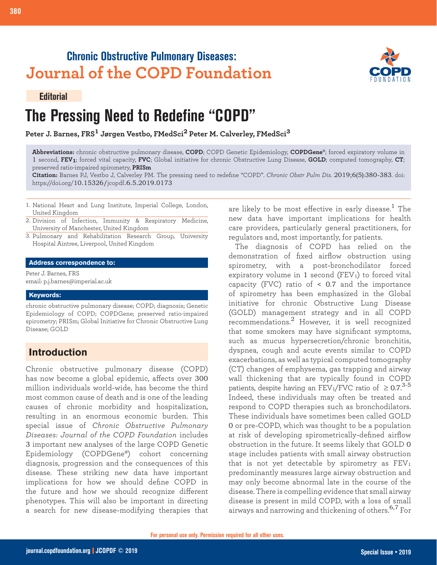## **Chronic Obstructive Pulmonary Diseases: Journal of the COPD Foundation**

### **Editorial**

# **The Pressing Need to Redefine "COPD"**

**Peter J. Barnes, FRS1 Jørgen Vestbo, FMedSci2 Peter M. Calverley, FMedSci<sup>3</sup>**

**Abbreviations:** chronic obstructive pulmonary disease, **COPD**; COPD Genetic Epidemiology, **COPDGene®**; forced expiratory volume in 1 second, **FEV1**; forced vital capacity, **FVC**; Global initiative for chronic Obstructive Lung Disease, **GOLD**; computed tomography, **CT**; preserved ratio-impaired spirometry, **PRISm**

**Citation:** Barnes PJ, Vestbo J, Calverley PM. The pressing need to redefine "COPD". *Chronic Obstr Pulm Dis*. 2019;6(5):380-383. doi: https://doi.org/10.15326/jcopdf.6.5.2019.0173

- 1. National Heart and Lung Institute, Imperial College, London, United Kingdom
- 2. Division of Infection, Immunity & Respiratory Medicine, University of Manchester, United Kingdom
- 3. Pulmonary and Rehabilitation Research Group, University Hospital Aintree, Liverpool, United Kingdom

#### **Address correspondence to:**

Peter J. Barnes, FRS email: p.j.barnes@imperial.ac.uk

#### **Keywords:**

chronic obstructive pulmonary disease; COPD; diagnosis; Genetic Epidemiology of COPD; COPDGene; preserved ratio-impaired spirometry; PRISm; Global Initiative for Chronic Obstructive Lung Disease; GOLD

### **Introduction**

Chronic obstructive pulmonary disease (COPD) has now become a global epidemic, affects over 300 million individuals world-wide, has become the third most common cause of death and is one of the leading causes of chronic morbidity and hospitalization, resulting in an enormous economic burden. This special issue of *Chronic Obstructive Pulmonary Diseases: Journal of the COPD Foundation* includes 3 important new analyses of the large COPD Genetic Epidemiology (COPDGene®) cohort concerning diagnosis, progression and the consequences of this disease. These striking new data have important implications for how we should define COPD in the future and how we should recognize different phenotypes. This will also be important in directing a search for new disease-modifying therapies that are likely to be most effective in early disease.<sup>1</sup> The new data have important implications for health care providers, particularly general practitioners, for regulators and, most importantly, for patients.

The diagnosis of COPD has relied on the demonstration of fixed airflow obstruction using spirometry, with a post-bronchodilator forced expiratory volume in  $1$  second (FEV<sub>1</sub>) to forced vital capacity (FVC) ratio of  $\leq$  0.7 and the importance of spirometry has been emphasized in the Global initiative for chronic Obstructive Lung Disease (GOLD) management strategy and in all COPD recommendations. $^{2}$  However, it is well recognized that some smokers may have significant symptoms, such as mucus hypersecretion/chronic bronchitis, dyspnea, cough and acute events similar to COPD exacerbations, as well as typical computed tomography (CT) changes of emphysema, gas trapping and airway wall thickening that are typically found in COPD patients, despite having an FEV1/FVC ratio of  $~\geq 0.7.^{3\text{-}5}$ Indeed, these individuals may often be treated and respond to COPD therapies such as bronchodilators. These individuals have sometimes been called GOLD 0 or pre-COPD, which was thought to be a population at risk of developing spirometrically-defined airflow obstruction in the future. It seems likely that GOLD 0 stage includes patients with small airway obstruction that is not yet detectable by spirometry as  $FEV<sub>1</sub>$ predominantly measures large airway obstruction and may only become abnormal late in the course of the disease. There is compelling evidence that small airway disease is present in mild COPD, with a loss of small airways and narrowing and thickening of others.<sup>6,7</sup> For

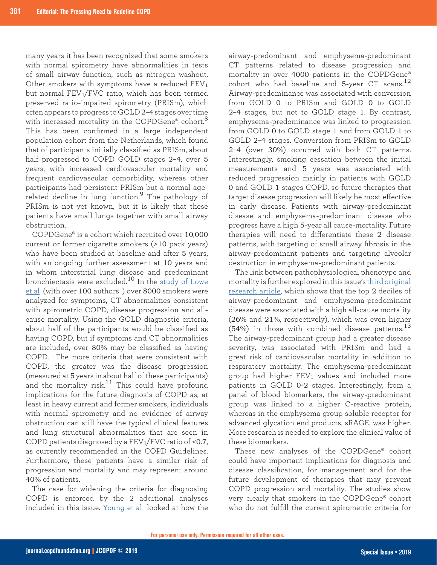many years it has been recognized that some smokers with normal spirometry have abnormalities in tests of small airway function, such as nitrogen washout. Other smokers with symptoms have a reduced FEV<sub>1</sub> but normal FEV1/FVC ratio, which has been termed preserved ratio-impaired spirometry (PRISm), which often appears to progress to GOLD 2–4 stages over time with increased mortality in the COPDGene® cohort.<sup>8</sup> This has been confirmed in a large independent population cohort from the Netherlands, which found that of participants initially classified as PRISm, about half progressed to COPD GOLD stages 2–4, over 5 years, with increased cardiovascular mortality and frequent cardiovascular comorbidity, whereas other participants had persistent PRISm but a normal agerelated decline in lung function.<sup>9</sup> The pathology of PRISm is not yet known, but it is likely that these patients have small lungs together with small airway obstruction.

COPDGene® is a cohort which recruited over 10,000 current or former cigarette smokers (>10 pack years) who have been studied at baseline and after 5 years, with an ongoing further assessment at 10 years and in whom interstitial lung disease and predominant bronchiectasis were excluded.10 In the [study of Lowe](https://journal.copdfoundation.org/jcopdf/id/1254/COPDGene-2019-Redefining-the-Diagnosis-of-Chronic-Obstructive-Pulmonary-Disease)  [et al](https://journal.copdfoundation.org/jcopdf/id/1254/COPDGene-2019-Redefining-the-Diagnosis-of-Chronic-Obstructive-Pulmonary-Disease) (with over 100 authors ) over 8000 smokers were analyzed for symptoms, CT abnormalities consistent with spirometric COPD, disease progression and allcause mortality. Using the GOLD diagnostic criteria, about half of the participants would be classified as having COPD, but if symptoms and CT abnormalities are included, over 80% may be classified as having COPD. The more criteria that were consistent with COPD, the greater was the disease progression (measured at 5 years in about half of these participants) and the mortality risk.<sup>11</sup> This could have profound implications for the future diagnosis of COPD as, at least in heavy current and former smokers, individuals with normal spirometry and no evidence of airway obstruction can still have the typical clinical features and lung structural abnormalities that are seen in COPD patients diagnosed by a FEV1/FVC ratio of <0.7, as currently recommended in the COPD Guidelines. Furthermore, these patients have a similar risk of progression and mortality and may represent around 40% of patients.

The case for widening the criteria for diagnosing COPD is enforced by the 2 additional analyses included in this issue. [Young et al](https://journal.copdfoundation.org/jcopdf/id/1257/Pulmonary-Subtypes-Exhibit-Differential-Global-Initiative-for-Chronic-Obstructive-Lung-Disease-Spirometry-Stage-Progression-The-COPDGenesupsup-Study) looked at how the

airway-predominant and emphysema-predominant CT patterns related to disease progression and mortality in over 4000 patients in the COPDGene® cohort who had baseline and 5-year CT scans.<sup>12</sup> Airway-predominance was associated with conversion from GOLD 0 to PRISm and GOLD 0 to GOLD 2–4 stages, but not to GOLD stage 1. By contrast, emphysema-predominance was linked to progression from GOLD 0 to GOLD stage 1 and from GOLD 1 to GOLD 2–4 stages. Conversion from PRISm to GOLD 2–4 (over 30%) occurred with both CT patterns. Interestingly, smoking cessation between the initial measurements and 5 years was associated with reduced progression mainly in patients with GOLD 0 and GOLD 1 stages COPD, so future therapies that target disease progression will likely be most effective in early disease. Patients with airway-predominant disease and emphysema-predominant disease who progress have a high 5-year all cause-mortality. Future therapies will need to differentiate these 2 disease patterns, with targeting of small airway fibrosis in the airway-predominant patients and targeting alveolar destruction in emphysema-predominant patients.

The link between pathophysiological phenotype and mortality is further explored in this issue's [third original](https://journal.copdfoundation.org/jcopdf/id/1259/Subtypes-of-COPD-Have-Unique-Distributions-and-Differential-Risk-of-Mortality)  [research article](https://journal.copdfoundation.org/jcopdf/id/1259/Subtypes-of-COPD-Have-Unique-Distributions-and-Differential-Risk-of-Mortality), which shows that the top 2 deciles of airway-predominant and emphysema-predominant disease were associated with a high all-cause mortality (26% and 21%, respectively), which was even higher  $(54%)$  in those with combined disease patterns.<sup>13</sup> The airway-predominant group had a greater disease severity, was associated with PRISm and had a great risk of cardiovascular mortality in addition to respiratory mortality. The emphysema-predominant group had higher  $FEV_1$  values and included more patients in GOLD 0-2 stages. Interestingly, from a panel of blood biomarkers, the airway-predominant group was linked to a higher C-reactive protein, whereas in the emphysema group soluble receptor for advanced glycation end products, sRAGE, was higher. More research is needed to explore the clinical value of these biomarkers.

These new analyses of the COPDGene® cohort could have important implications for diagnosis and disease classification, for management and for the future development of therapies that may prevent COPD progression and mortality. The studies show very clearly that smokers in the COPDGene® cohort who do not fulfill the current spirometric criteria for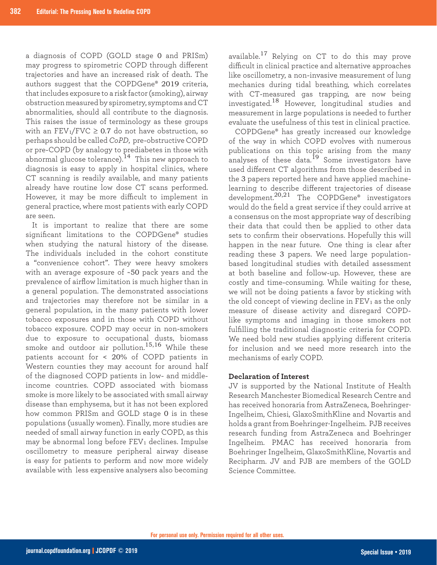a diagnosis of COPD (GOLD stage 0 and PRISm) may progress to spirometric COPD through different trajectories and have an increased risk of death. The authors suggest that the COPDGene® 2019 criteria, that includes exposure to a risk factor (smoking), airway obstruction measured by spirometry, symptoms and CT abnormalities, should all contribute to the diagnosis. This raises the issue of terminology as these groups with an  $FEV_1/FVC \geq 0.7$  do not have obstruction, so perhaps should be called *CoPD*, pre-obstructive COPD or pre-COPD (by analogy to prediabetes in those with abnormal glucose tolerance).<sup>14</sup> This new approach to diagnosis is easy to apply in hospital clinics, where CT scanning is readily available, and many patients already have routine low dose CT scans performed. However, it may be more difficult to implement in general practice, where most patients with early COPD are seen.

It is important to realize that there are some significant limitations to the COPDGene® studies when studying the natural history of the disease. The individuals included in the cohort constitute a "convenience cohort". They were heavy smokers with an average exposure of ~50 pack years and the prevalence of airflow limitation is much higher than in a general population. The demonstrated associations and trajectories may therefore not be similar in a general population, in the many patients with lower tobacco exposures and in those with COPD without tobacco exposure. COPD may occur in non-smokers due to exposure to occupational dusts, biomass smoke and outdoor air pollution.15,16 While these patients account for < 20% of COPD patients in Western counties they may account for around half of the diagnosed COPD patients in low- and middleincome countries. COPD associated with biomass smoke is more likely to be associated with small airway disease than emphysema, but it has not been explored how common PRISm and GOLD stage 0 is in these populations (usually women). Finally, more studies are needed of small airway function in early COPD, as this may be abnormal long before  $FEV<sub>1</sub>$  declines. Impulse oscillometry to measure peripheral airway disease is easy for patients to perform and now more widely available with less expensive analysers also becoming

available.17 Relying on CT to do this may prove difficult in clinical practice and alternative approaches like oscillometry, a non-invasive measurement of lung mechanics during tidal breathing, which correlates with CT-measured gas trapping, are now being investigated.18 However, longitudinal studies and measurement in large populations is needed to further evaluate the usefulness of this test in clinical practice.

COPDGene® has greatly increased our knowledge of the way in which COPD evolves with numerous publications on this topic arising from the many analyses of these data.<sup>19</sup> Some investigators have used different CT algorithms from those described in the 3 papers reported here and have applied machinelearning to describe different trajectories of disease development.<sup>20,21</sup> The COPDGene<sup>®</sup> investigators would do the field a great service if they could arrive at a consensus on the most appropriate way of describing their data that could then be applied to other data sets to confirm their observations. Hopefully this will happen in the near future. One thing is clear after reading these 3 papers. We need large populationbased longitudinal studies with detailed assessment at both baseline and follow-up. However, these are costly and time-consuming. While waiting for these, we will not be doing patients a favor by sticking with the old concept of viewing decline in  $FEV<sub>1</sub>$  as the only measure of disease activity and disregard COPDlike symptoms and imaging in those smokers not fulfilling the traditional diagnostic criteria for COPD. We need bold new studies applying different criteria for inclusion and we need more research into the mechanisms of early COPD.

### **Declaration of Interest**

JV is supported by the National Institute of Health Research Manchester Biomedical Research Centre and has received honoraria from AstraZeneca, Boehringer-Ingelheim, Chiesi, GlaxoSmithKline and Novartis and holds a grant from Boehringer-Ingelheim. PJB receives research funding from AstraZeneca and Boehringer Ingelheim. PMAC has received honoraria from Boehringer Ingelheim, GlaxoSmithKline, Novartis and Recipharm. JV and PJB are members of the GOLD Science Committee.